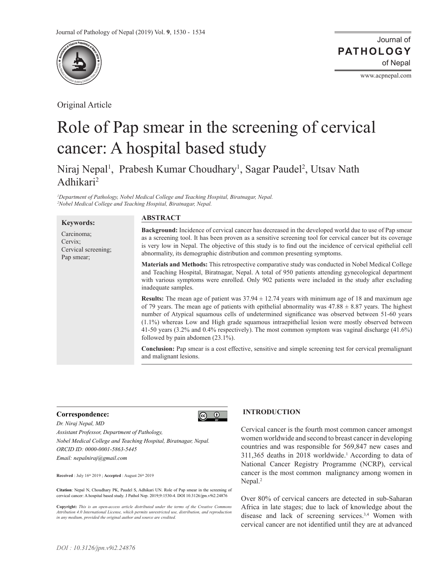

Original Article

Journal of of Nepal **PATHOLOGY**

www.acpnepal.com

# Role of Pap smear in the screening of cervical cancer: A hospital based study

Niraj Nepal<sup>1</sup>, Prabesh Kumar Choudhary<sup>1</sup>, Sagar Paudel<sup>2</sup>, Utsav Nath Adhikari<sup>2</sup>

*1 Department of Pathology, Nobel Medical College and Teaching Hospital, Biratnagar, Nepal. 2 Nobel Medical College and Teaching Hospital, Biratnagar, Nepal.*

| <b>Keywords:</b>                                           | <b>ABSTRACT</b>                                                                                                                                                                                                                                                                                                                                                                                                                                                                                                                                                            |  |  |  |  |
|------------------------------------------------------------|----------------------------------------------------------------------------------------------------------------------------------------------------------------------------------------------------------------------------------------------------------------------------------------------------------------------------------------------------------------------------------------------------------------------------------------------------------------------------------------------------------------------------------------------------------------------------|--|--|--|--|
| Carcinoma;<br>Cervix:<br>Cervical screening;<br>Pap smear; | <b>Background:</b> Incidence of cervical cancer has decreased in the developed world due to use of Pap smear<br>as a screening tool. It has been proven as a sensitive screening tool for cervical cancer but its coverage<br>is very low in Nepal. The objective of this study is to find out the incidence of cervical epithelial cell<br>abnormality, its demographic distribution and common presenting symptoms.                                                                                                                                                      |  |  |  |  |
|                                                            | <b>Materials and Methods:</b> This retrospective comparative study was conducted in Nobel Medical College<br>and Teaching Hospital, Biratnagar, Nepal. A total of 950 patients attending gynecological department<br>with various symptoms were enrolled. Only 902 patients were included in the study after excluding<br>inadequate samples.                                                                                                                                                                                                                              |  |  |  |  |
|                                                            | <b>Results:</b> The mean age of patient was $37.94 \pm 12.74$ years with minimum age of 18 and maximum age<br>of 79 years. The mean age of patients with epithelial abnormality was $47.88 \pm 8.87$ years. The highest<br>number of Atypical squamous cells of undetermined significance was observed between 51-60 years<br>$(1.1%)$ whereas Low and High grade squamous intraepithelial lesion were mostly observed between<br>41-50 years (3.2% and 0.4% respectively). The most common symptom was vaginal discharge (41.6%)<br>followed by pain abdomen $(23.1\%)$ . |  |  |  |  |
|                                                            | <b>Conclusion:</b> Pap smear is a cost effective, sensitive and simple screening test for cervical premalignant<br>and malignant lesions.                                                                                                                                                                                                                                                                                                                                                                                                                                  |  |  |  |  |

 $\odot$   $\odot$ 

# **Correspondence:**

*Dr. Niraj Nepal, MD Assistant Professor, Department of Pathology, Nobel Medical College and Teaching Hospital, Biratnagar, Nepal. ORCID ID: 0000-0001-5863-5445*

*Email: nepalniraj@gmail.com*

**Received** : July 16th 2019 ; **Accepted** : August 26th 2019

**Citation**: Nepal N, Choudhary PK, Paudel S, Adhikari UN. Role of Pap smear in the screening of cervical cancer: A hospital based study. J Pathol Nep. 2019;9:1530-4. DOI 10.3126/jpn.v9i2.24876

**Copyright:** *This is an open-access article distributed under the terms of the Creative Commons Attribution 4.0 International License, which permits unrestricted use, distribution, and reproduction in any medium, provided the original author and source are credited.*

# **INTRODUCTION**

Cervical cancer is the fourth most common cancer amongst women worldwide and second to breast cancer in developing countries and was responsible for 569,847 new cases and  $311,365$  deaths in 2018 worldwide.<sup>1</sup> According to data of National Cancer Registry Programme (NCRP), cervical cancer is the most common malignancy among women in Nepal.<sup>2</sup>

Over 80% of cervical cancers are detected in sub-Saharan Africa in late stages; due to lack of knowledge about the disease and lack of screening services.<sup>3,4</sup> Women with cervical cancer are not identified until they are at advanced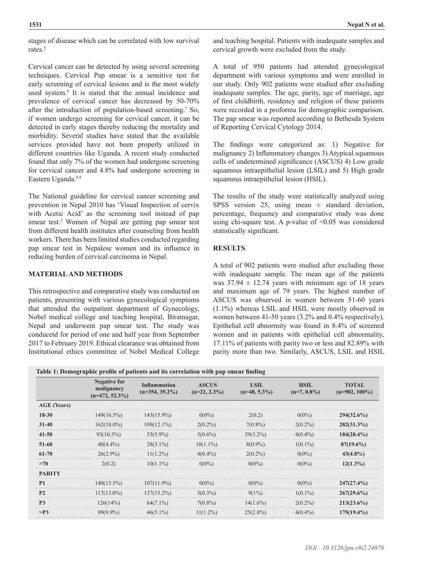stages of disease which can be correlated with low survival rates.<sup>5</sup>

Cervical cancer can be detected by using several screening techniques. Cervical Pap smear is a sensitive test for early screening of cervical lesions and is the most widely used system.6 It is stated that the annual incidence and prevalence of cervical cancer has decreased by 50-70% after the introduction of population-based screening.<sup>7</sup> So, if women undergo screening for cervical cancer, it can be detected in early stages thereby reducing the mortality and morbidity. Several studies have stated that the available services provided have not been properly utilized in different countries like Uganda. A recent study conducted found that only 7% of the women had undergone screening for cervical cancer and 4.8% had undergone screening in Eastern Uganda.<sup>8,9</sup>

The National guideline for cervical cancer screening and prevention in Nepal 2010 has 'Visual Inspection of cervix with Acetic Acid' as the screening tool instead of pap smear test.<sup>2</sup> Women of Nepal are getting pap smear test from different health institutes after counseling from health workers. There has been limited studies conducted regarding pap smear test in Nepalese women and its influence in reducing burden of cervical carcinoma in Nepal.

# **MATERIAL AND METHODS**

This retrospective and comparative study was conducted on patients, presenting with various gynecological symptoms that attended the outpatient department of Gynecology, Nobel medical college and teaching hospital, Biratnagar, Nepal and underwent pap smear test. The study was conducetd for period of one and half year from September 2017 to February 2019. Ethical clearance was obtained from Institutional ethics committee of Nobel Medical College

and teaching hospital. Patients with inadequate samples and cervical growth were excluded from the study.

A total of 950 patients had attended gynecological department with various symptoms and were enrolled in our study. Only 902 patients were studied after excluding inadequate samples. The age, parity, age of marriage, age of first childbirth, residency and religion of these patients were recorded in a proforma for demographic comparison. The pap smear was reported according to Bethesda System of Reporting Cervical Cytology 2014.

The findings were categorized as: 1) Negative for malignancy 2) Inflammatory changes 3) Atypical squamous cells of undetermined significance (ASCUS) 4) Low grade squamous intraepithelial lesion (LSIL) and 5) High grade squamous intraepithelial lesion (HSIL).

The results of the study were statistically analyzed using SPSS version 25, using mean  $\pm$  standard deviation, percentage, frequency and comparative study was done using chi-square test. A p-value of <0.05 was considered statistically significant.

# **RESULTS**

A total of 902 patients were studied after excluding those with inadequate sample. The mean age of the patients was  $37.94 \pm 12.74$  years with minimum age of 18 years and maximum age of 79 years. The highest number of ASCUS was observed in women between 51-60 years (1.1%) whereas LSIL and HSIL were mostly observed in women between 41-50 years (3.2% and 0.4% respectively). Epithelial cell abnormity was found in 8.4% of screened women and in patients with epithelial cell abnormality, 17.11% of patients with parity two or less and 82.89% with parity more than two. Similarly, ASCUS, LSIL and HSIL

|                    | <b>Negative for</b>             |                                          |                                 |                                |                               |                                  |
|--------------------|---------------------------------|------------------------------------------|---------------------------------|--------------------------------|-------------------------------|----------------------------------|
|                    | malignancy<br>$(n=472, 52.3\%)$ | <b>Inflammation</b><br>$(n=354, 39.2\%)$ | <b>ASCUS</b><br>$(n=21, 2.3\%)$ | <b>LSIL</b><br>$(n=48, 5.3\%)$ | <b>HSIL</b><br>$(n=7, 0.8\%)$ | <b>TOTAL</b><br>$(n=902, 100\%)$ |
| <b>AGE</b> (Years) |                                 |                                          |                                 |                                |                               |                                  |
| $18 - 30$          | $149(16.5\%)$                   | $143(15.9\%)$                            | $0(0\%)$                        | 2(0.2)                         | $0(0\%)$                      | 294(32.6%)                       |
| $31 - 40$          | $162(18.0\%)$                   | $109(12.1\%)$                            | $2(0.2\%)$                      | $7(0.8\%)$                     | $2(0.2\%)$                    | 282(31.3%)                       |
| $41 - 50$          | $93(10.3\%)$                    | $53(5.9\%)$                              | $5(0.6\%)$                      | $29(3.2\%)$                    | $4(0.4\%)$                    | $184(20.4\%)$                    |
| $51-60$            | $40(4.4\%)$                     | $28(3.1\%)$                              | $10(1.1\%)$                     | $8(0.9\%)$                     | $1(0.1\%)$                    | $87(19.6\%)$                     |
| $61 - 70$          | $26(2.9\%)$                     | $11(1.2\%)$                              | $4(0.4\%)$                      | $2(0.2\%)$                     | $0(0\%)$                      | $43(4.8\%)$                      |
| >70                | 2(0.2)                          | $10(1.1\%)$                              | $0(0\%)$                        | $0(0\%)$                       | $0(0\%)$                      | $12(1.3\%)$                      |
| <b>PARITY</b>      |                                 |                                          |                                 |                                |                               |                                  |
| P <sub>1</sub>     | $140(15.5\%)$                   | $107(11.9\%)$                            | $0(0\%)$                        | $0(0\%)$                       | $0(0\%)$                      | $247(27.4\%)$                    |
| P <sub>2</sub>     | $117(13.0\%)$                   | $137(15.2\%)$                            | $3(0.3\%)$                      | $9(1\%)$                       | $1(0.1\%)$                    | $267(29.6\%)$                    |
| <b>P3</b>          | 126(14%)                        | $64(7.1\%)$                              | $7(0.8\%)$                      | $14(1.6\%)$                    | $2(0.2\%)$                    | $213(23.6\%)$                    |
| $>$ P3             | $89(9.9\%)$                     | $46(5.1\%)$                              | $11(1.2\%)$                     | $25(2.8\%)$                    | $4(0.4\%)$                    | $175(19.4\%)$                    |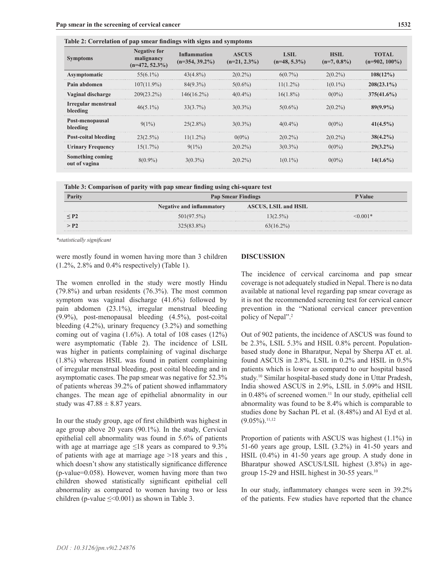| Table 2: Correlation of pap smear findings with signs and symptoms |  |  |
|--------------------------------------------------------------------|--|--|
|                                                                    |  |  |

| <b>Symptoms</b>                   | Negative for<br>malignancy<br>$(n=472, 52.3\%)$ | <b>Inflammation</b><br>$(n=354, 39.2\%)$ | <b>ASCUS</b><br>$(n=21, 2.3\%)$ | LSIL<br>$(n=48, 5.3\%)$ | <b>HSIL</b><br>$(n=7, 0.8\%)$ | <b>TOTAL</b><br>$(n=902, 100\%)$ |
|-----------------------------------|-------------------------------------------------|------------------------------------------|---------------------------------|-------------------------|-------------------------------|----------------------------------|
| Asymptomatic                      | $55(6.1\%)$                                     | $43(4.8\%)$                              | $2(0.2\%)$                      | $6(0.7\%)$              | $2(0.2\%)$                    | $108(12\%)$                      |
| Pain abdomen                      | $107(11.9\%)$                                   | $84(9.3\%)$                              | $5(0.6\%)$                      | $11(1.2\%)$             | $1(0.1\%)$                    | $208(23.1\%)$                    |
| Vaginal discharge                 | $209(23.2\%)$                                   | $146(16.2\%)$                            | $4(0.4\%)$                      | $16(1.8\%)$             | $0(0\%)$                      | $375(41.6\%)$                    |
| Irregular menstrual<br>bleeding   | $46(5.1\%)$                                     | $33(3.7\%)$                              | $3(0.3\%)$                      | $5(0.6\%)$              | $2(0.2\%)$                    | $89(9.9\%)$                      |
| Post-menopausal<br>bleeding       | $9(1\%)$                                        | $25(2.8\%)$                              | $3(0.3\%)$                      | $4(0.4\%)$              | $0(0\%)$                      | $41(4.5\%)$                      |
| <b>Post-coital bleeding</b>       | $23(2.5\%)$                                     | $11(1.2\%)$                              | $0(0\%)$                        | $2(0.2\%)$              | $2(0.2\%)$                    | $38(4.2\%)$                      |
| <b>Urinary Frequency</b>          | $15(1.7\%)$                                     | $9(1\%)$                                 | $2(0.2\%)$                      | $3(0.3\%)$              | $0(0\%)$                      | $29(3.2\%)$                      |
| Something coming<br>out of vagina | $8(0.9\%)$                                      | $3(0.3\%)$                               | $2(0.2\%)$                      | $1(0.1\%)$              | $0(0\%)$                      | $14(1.6\%)$                      |

**Table 3: Comparison of parity with pap smear finding using chi-square test**

|                                  | <b>Pap Smear Findings</b>   |  |  |  |
|----------------------------------|-----------------------------|--|--|--|
| <b>Negative and inflammatory</b> | <b>ASCUS, LSIL and HSIL</b> |  |  |  |
| 1(97.5%)                         | $5\%$                       |  |  |  |
|                                  |                             |  |  |  |

*\*statistically significant*

were mostly found in women having more than 3 children (1.2%, 2.8% and 0.4% respectively) (Table 1).

The women enrolled in the study were mostly Hindu (79.8%) and urban residents (76.3%). The most common symptom was vaginal discharge (41.6%) followed by pain abdomen (23.1%), irregular menstrual bleeding (9.9%), post-menopausal bleeding (4.5%), post-coital bleeding (4.2%), urinary frequency (3.2%) and something coming out of vagina  $(1.6\%)$ . A total of 108 cases  $(12\%)$ were asymptomatic (Table 2). The incidence of LSIL was higher in patients complaining of vaginal discharge (1.8%) whereas HSIL was found in patient complaining of irregular menstrual bleeding, post coital bleeding and in asymptomatic cases. The pap smear was negative for 52.3% of patients whereas 39.2% of patient showed inflammatory changes. The mean age of epithelial abnormality in our study was  $47.88 \pm 8.87$  years.

In our the study group, age of first childbirth was highest in age group above 20 years (90.1%). In the study, Cervical epithelial cell abnormality was found in 5.6% of patients with age at marriage age  $\leq 18$  years as compared to 9.3% of patients with age at marriage age >18 years and this , which doesn't show any statistically significance difference (p-value=0.058). However, women having more than two children showed statistically significant epithelial cell abnormality as compared to women having two or less children (p-value  $\leq 0.001$ ) as shown in Table 3.

#### **DISCUSSION**

The incidence of cervical carcinoma and pap smear coverage is not adequately studied in Nepal. There is no data available at national level regarding pap smear coverage as it is not the recommended screening test for cervical cancer prevention in the "National cervical cancer prevention policy of Nepal".2

Out of 902 patients, the incidence of ASCUS was found to be 2.3%, LSIL 5.3% and HSIL 0.8% percent. Populationbased study done in Bharatpur, Nepal by Sherpa AT et. al. found ASCUS in 2.8%, LSIL in 0.2% and HSIL in 0.5% patients which is lower as compared to our hospital based study.10 Similar hospital-based study done in Uttar Pradesh, India showed ASCUS in 2.9%, LSIL in 5.09% and HSIL in 0.48% of screened women.<sup>11</sup> In our study, epithelial cell abnormality was found to be 8.4% which is comparable to studies done by Sachan PL et al. (8.48%) and Al Eyd et al.  $(9.05\%)$ <sup>11,12</sup>

Proportion of patients with ASCUS was highest (1.1%) in 51-60 years age group, LSIL (3.2%) in 41-50 years and HSIL (0.4%) in 41-50 years age group. A study done in Bharatpur showed ASCUS/LSIL highest (3.8%) in agegroup 15-29 and HSIL highest in 30-55 years.10

In our study, inflammatory changes were seen in 39.2% of the patients. Few studies have reported that the chance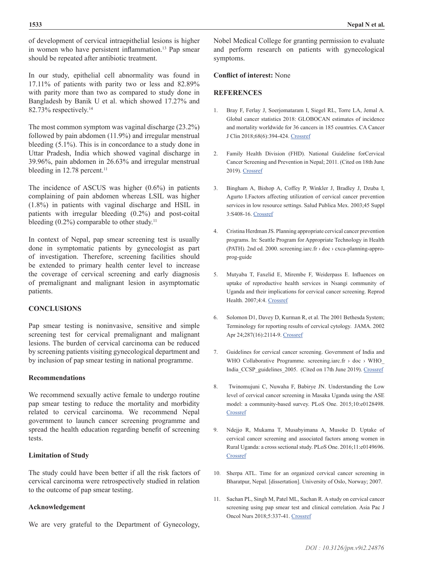of development of cervical intraepithelial lesions is higher in women who have persistent inflammation.<sup>13</sup> Pap smear should be repeated after antibiotic treatment.

In our study, epithelial cell abnormality was found in 17.11% of patients with parity two or less and 82.89% with parity more than two as compared to study done in Bangladesh by Banik U et al. which showed 17.27% and 82.73% respectively.<sup>14</sup>

The most common symptom was vaginal discharge (23.2%) followed by pain abdomen (11.9%) and irregular menstrual bleeding (5.1%). This is in concordance to a study done in Uttar Pradesh, India which showed vaginal discharge in 39.96%, pain abdomen in 26.63% and irregular menstrual bleeding in 12.78 percent.<sup>11</sup>

The incidence of ASCUS was higher (0.6%) in patients complaining of pain abdomen whereas LSIL was higher (1.8%) in patients with vaginal discharge and HSIL in patients with irregular bleeding (0.2%) and post-coital bleeding  $(0.2\%)$  comparable to other study.<sup>11</sup>

In context of Nepal, pap smear screening test is usually done in symptomatic patients by gynecologist as part of investigation. Therefore, screening facilities should be extended to primary health center level to increase the coverage of cervical screening and early diagnosis of premalignant and malignant lesion in asymptomatic patients.

#### **CONCLUSIONS**

Pap smear testing is noninvasive, sensitive and simple screening test for cervical premalignant and malignant lesions. The burden of cervical carcinoma can be reduced by screening patients visiting gynecological department and by inclusion of pap smear testing in national programme.

#### **Recommendations**

We recommend sexually active female to undergo routine pap smear testing to reduce the mortality and morbidity related to cervical carcinoma. We recommend Nepal government to launch cancer screening programme and spread the health education regarding benefit of screening tests.

#### **Limitation of Study**

The study could have been better if all the risk factors of cervical carcinoma were retrospectively studied in relation to the outcome of pap smear testing.

#### **Acknowledgement**

We are very grateful to the Department of Gynecology,

Nobel Medical College for granting permission to evaluate and perform research on patients with gynecological symptoms.

# **Conflict of interest:** None

# **REFERENCES**

- 1. Bray F, Ferlay J, Soerjomataram I, Siegel RL, Torre LA, Jemal A. Global cancer statistics 2018: GLOBOCAN estimates of incidence and mortality worldwide for 36 cancers in 185 countries. CA Cancer J Clin 2018;68(6):394-424. [Crossref](https://doi.org/10.3322/caac.21492)
- 2. Family Health Division (FHD). National Guideline forCervical Cancer Screening and Prevention in Nepal; 2011. (Cited on 18th June 2019). [Crossref](https://dohs.gov.np/wp-content/uploads/2017/06/DoHS_Annual_Report_2072_73.pdf)
- 3. Bingham A, Bishop A, Coffey P, Winkler J, Bradley J, Dzuba I, Agurto I.Factors affecting utilization of cervical cancer prevention services in low resource settings. Salud Publica Mex. 2003;45 Suppl 3:S408-16. [Crossref](https://doi.org/10.1590/S0036-36342003000900015)
- 4. Cristina Herdman JS. Planning appropriate cervical cancer prevention programs. In: Seattle Program for Appropriate Technology in Health (PATH). 2nd ed. 2000. screening.iarc.fr › doc › cxca-planning-approprog-guide
- 5. Mutyaba T, Faxelid E, Mirembe F, Weiderpass E. Influences on uptake of reproductive health services in Nsangi community of Uganda and their implications for cervical cancer screening. Reprod Health. 2007;4:4. [Crossref](https://doi.org/10.1186/1742-4755-4-4)
- 6. Solomon D1, Davey D, Kurman R, et al. The 2001 Bethesda System; Terminology for reporting results of cervical cytology. JAMA. 2002 Apr 24;287(16):2114-9. [Crossref](https://doi.org/10.1001/jama.287.16.2114)
- 7. Guidelines for cervical cancer screening. Government of India and WHO Collaborative Programme. screening.iarc.fr > doc > WHO\_ India\_CCSP\_guidelines\_2005. (Cited on 17th June 2019). [Crossref](http://screening.iarc.fr/doc/WHO_India_CCSP_guidelines_2005.pdf)
- 8. Twinomujuni C, Nuwaha F, Babirye JN. Understanding the Low level of cervical cancer screening in Masaka Uganda using the ASE model: a community-based survey. PLoS One. 2015;10:e0128498. **[Crossref](https://doi.org/10.1371/journal.pone.0128498)**
- 9. Ndejjo R, Mukama T, Musabyimana A, Musoke D. Uptake of cervical cancer screening and associated factors among women in Rural Uganda: a cross sectional study. PLoS One. 2016;11:e0149696. **[Crossref](https://doi.org/10.1371/journal.pone.0149696)**
- 10. Sherpa ATL. Time for an organized cervical cancer screening in Bharatpur, Nepal. [dissertation]. University of Oslo, Norway; 2007.
- 11. Sachan PL, Singh M, Patel ML, Sachan R. A study on cervical cancer screening using pap smear test and clinical correlation. Asia Pac J Oncol Nurs 2018;5:337-41. [Crossref](https://doi.org/10.4103/apjon.apjon_15_18)